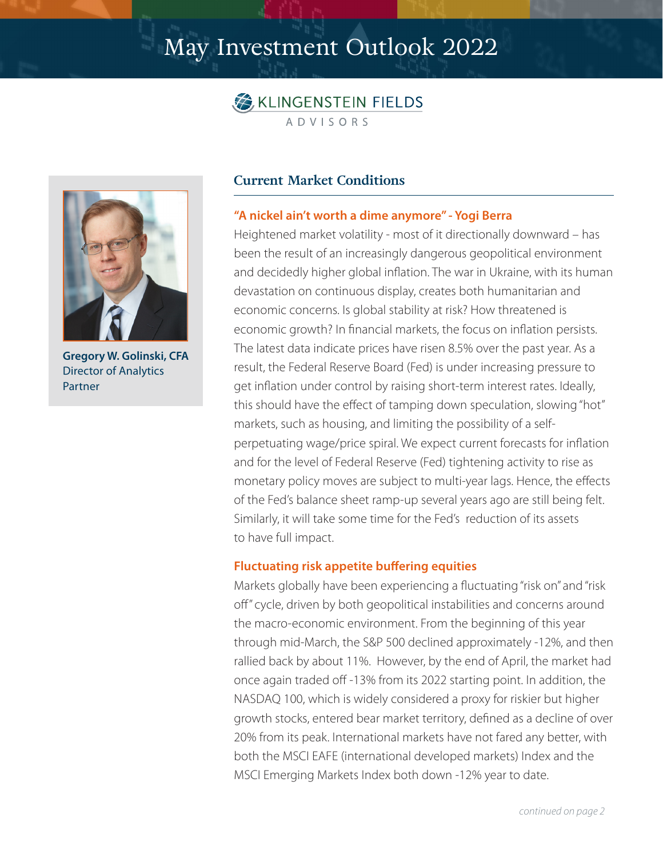# May Investment Outlook 2022





**Gregory W. Golinski, CFA** Director of Analytics Partner

## **Current Market Conditions**

#### **"A nickel ain't worth a dime anymore" - Yogi Berra**

Heightened market volatility - most of it directionally downward – has been the result of an increasingly dangerous geopolitical environment and decidedly higher global inflation. The war in Ukraine, with its human devastation on continuous display, creates both humanitarian and economic concerns. Is global stability at risk? How threatened is economic growth? In financial markets, the focus on inflation persists. The latest data indicate prices have risen 8.5% over the past year. As a result, the Federal Reserve Board (Fed) is under increasing pressure to get inflation under control by raising short-term interest rates. Ideally, this should have the effect of tamping down speculation, slowing "hot" markets, such as housing, and limiting the possibility of a selfperpetuating wage/price spiral. We expect current forecasts for inflation and for the level of Federal Reserve (Fed) tightening activity to rise as monetary policy moves are subject to multi-year lags. Hence, the effects of the Fed's balance sheet ramp-up several years ago are still being felt. Similarly, it will take some time for the Fed's reduction of its assets to have full impact.

#### **Fluctuating risk appetite buffering equities**

Markets globally have been experiencing a fluctuating "risk on" and "risk off" cycle, driven by both geopolitical instabilities and concerns around the macro-economic environment. From the beginning of this year through mid-March, the S&P 500 declined approximately -12%, and then rallied back by about 11%. However, by the end of April, the market had once again traded off -13% from its 2022 starting point. In addition, the NASDAQ 100, which is widely considered a proxy for riskier but higher growth stocks, entered bear market territory, defined as a decline of over 20% from its peak. International markets have not fared any better, with both the MSCI EAFE (international developed markets) Index and the MSCI Emerging Markets Index both down -12% year to date.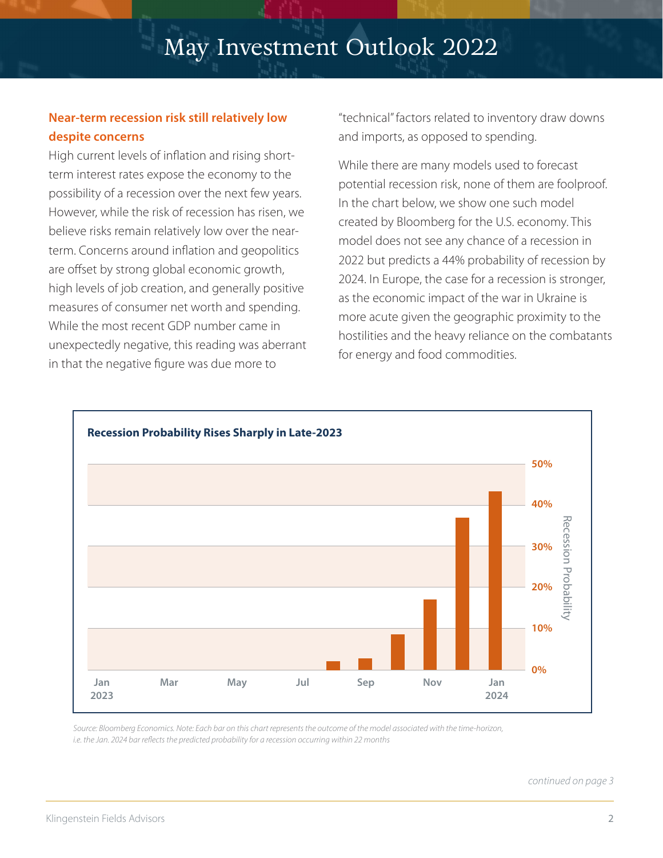# May Investment Outlook 2022

## **Near-term recession risk still relatively low despite concerns**

High current levels of inflation and rising shortterm interest rates expose the economy to the possibility of a recession over the next few years. However, while the risk of recession has risen, we believe risks remain relatively low over the nearterm. Concerns around inflation and geopolitics are offset by strong global economic growth, high levels of job creation, and generally positive measures of consumer net worth and spending. While the most recent GDP number came in unexpectedly negative, this reading was aberrant in that the negative figure was due more to

"technical" factors related to inventory draw downs and imports, as opposed to spending.

While there are many models used to forecast potential recession risk, none of them are foolproof. In the chart below, we show one such model created by Bloomberg for the U.S. economy. This model does not see any chance of a recession in 2022 but predicts a 44% probability of recession by 2024. In Europe, the case for a recession is stronger, as the economic impact of the war in Ukraine is more acute given the geographic proximity to the hostilities and the heavy reliance on the combatants for energy and food commodities.



*Source: Bloomberg Economics. Note: Each bar on this chart represents the outcome of the model associated with the time-horizon, i.e. the Jan. 2024 bar reflects the predicted probability for a recession occurring within 22 months*

*continued on page 3*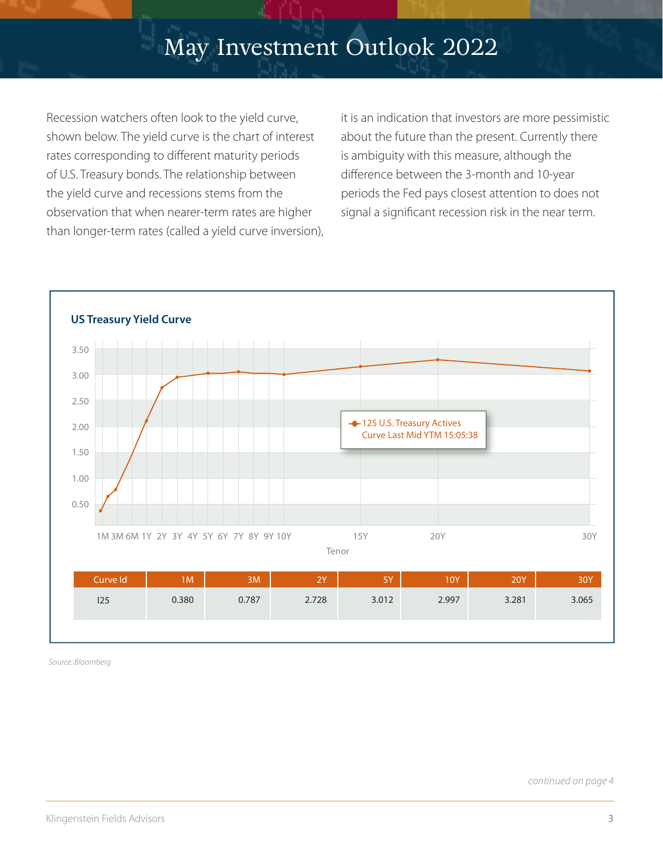Recession watchers often look to the yield curve, shown below. The yield curve is the chart of interest rates corresponding to different maturity periods of U.S. Treasury bonds. The relationship between the yield curve and recessions stems from the observation that when nearer-term rates are higher than longer-term rates (called a yield curve inversion), it is an indication that investors are more pessimistic about the future than the present. Currently there is ambiguity with this measure, although the difference between the 3-month and 10-year periods the Fed pays closest attention to does not signal a significant recession risk in the near term.



*Source: Bloomberg*

*continued on page 4*